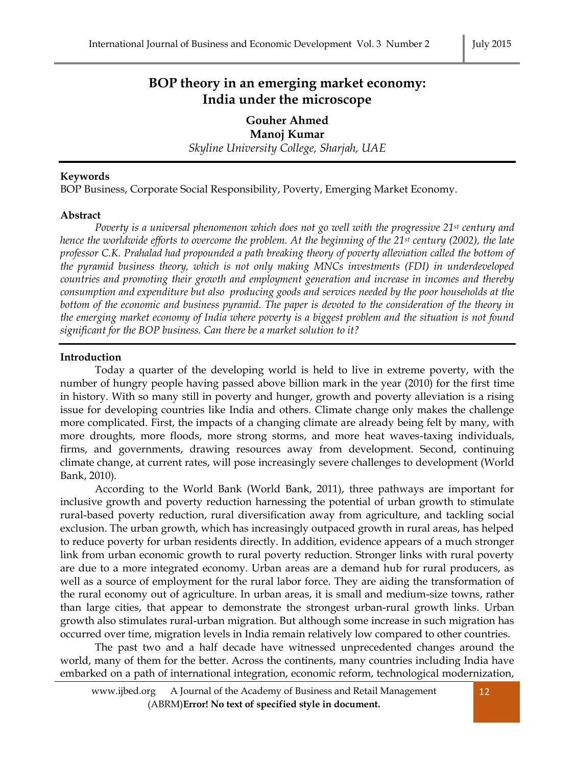# **BOP theory in an emerging market economy: India under the microscope**

**Gouher Ahmed Manoj Kumar** *Skyline University College, Sharjah, UAE*

# **Keywords**

BOP Business, Corporate Social Responsibility, Poverty, Emerging Market Economy.

# **Abstract**

*Poverty is a universal phenomenon which does not go well with the progressive 21st century and hence the worldwide efforts to overcome the problem. At the beginning of the 21st century (2002), the late professor C.K. Prahalad had propounded a path breaking theory of poverty alleviation called the bottom of the pyramid business theory, which is not only making MNCs investments (FDI) in underdeveloped countries and promoting their growth and employment generation and increase in incomes and thereby consumption and expenditure but also producing goods and services needed by the poor households at the bottom of the economic and business pyramid. The paper is devoted to the consideration of the theory in the emerging market economy of India where poverty is a biggest problem and the situation is not found significant for the BOP business. Can there be a market solution to it?*

# **Introduction**

Today a quarter of the developing world is held to live in extreme poverty, with the number of hungry people having passed above billion mark in the year (2010) for the first time in history. With so many still in poverty and hunger, growth and poverty alleviation is a rising issue for developing countries like India and others. Climate change only makes the challenge more complicated. First, the impacts of a changing climate are already being felt by many, with more droughts, more floods, more strong storms, and more heat waves-taxing individuals, firms, and governments, drawing resources away from development. Second, continuing climate change, at current rates, will pose increasingly severe challenges to development (World Bank, 2010).

According to the World Bank (World Bank, 2011), three pathways are important for inclusive growth and poverty reduction harnessing the potential of urban growth to stimulate rural-based poverty reduction, rural diversification away from agriculture, and tackling social exclusion. The urban growth, which has increasingly outpaced growth in rural areas, has helped to reduce poverty for urban residents directly. In addition, evidence appears of a much stronger link from urban economic growth to rural poverty reduction. Stronger links with rural poverty are due to a more integrated economy. Urban areas are a demand hub for rural producers, as well as a source of employment for the rural labor force. They are aiding the transformation of the rural economy out of agriculture. In urban areas, it is small and medium-size towns, rather than large cities, that appear to demonstrate the strongest urban-rural growth links. Urban growth also stimulates rural-urban migration. But although some increase in such migration has occurred over time, migration levels in India remain relatively low compared to other countries.

The past two and a half decade have witnessed unprecedented changes around the world, many of them for the better. Across the continents, many countries including India have embarked on a path of international integration, economic reform, technological modernization,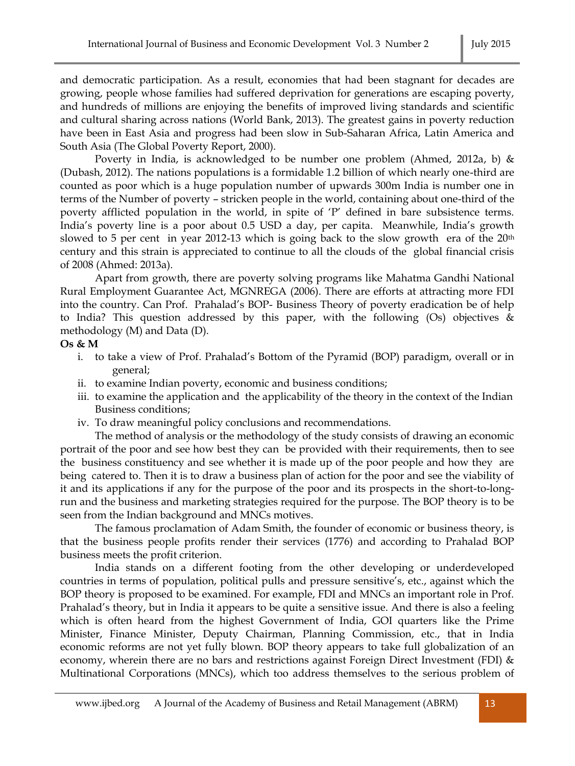and democratic participation. As a result, economies that had been stagnant for decades are growing, people whose families had suffered deprivation for generations are escaping poverty, and hundreds of millions are enjoying the benefits of improved living standards and scientific and cultural sharing across nations (World Bank, 2013). The greatest gains in poverty reduction have been in East Asia and progress had been slow in Sub-Saharan Africa, Latin America and South Asia (The Global Poverty Report, 2000).

Poverty in India, is acknowledged to be number one problem (Ahmed, 2012a, b) & (Dubash, 2012). The nations populations is a formidable 1.2 billion of which nearly one-third are counted as poor which is a huge population number of upwards 300m India is number one in terms of the Number of poverty – stricken people in the world, containing about one-third of the poverty afflicted population in the world, in spite of 'P' defined in bare subsistence terms. India's poverty line is a poor about 0.5 USD a day, per capita. Meanwhile, India's growth slowed to 5 per cent in year 2012-13 which is going back to the slow growth era of the  $20<sup>th</sup>$ century and this strain is appreciated to continue to all the clouds of the global financial crisis of 2008 (Ahmed: 2013a).

Apart from growth, there are poverty solving programs like Mahatma Gandhi National Rural Employment Guarantee Act, MGNREGA (2006). There are efforts at attracting more FDI into the country. Can Prof. Prahalad's BOP- Business Theory of poverty eradication be of help to India? This question addressed by this paper, with the following (Os) objectives & methodology (M) and Data (D).

### **Os & M**

- i. to take a view of Prof. Prahalad's Bottom of the Pyramid (BOP) paradigm, overall or in general;
- ii. to examine Indian poverty, economic and business conditions;
- iii. to examine the application and the applicability of the theory in the context of the Indian Business conditions;
- iv. To draw meaningful policy conclusions and recommendations.

The method of analysis or the methodology of the study consists of drawing an economic portrait of the poor and see how best they can be provided with their requirements, then to see the business constituency and see whether it is made up of the poor people and how they are being catered to. Then it is to draw a business plan of action for the poor and see the viability of it and its applications if any for the purpose of the poor and its prospects in the short-to-longrun and the business and marketing strategies required for the purpose. The BOP theory is to be seen from the Indian background and MNCs motives.

The famous proclamation of Adam Smith, the founder of economic or business theory, is that the business people profits render their services (1776) and according to Prahalad BOP business meets the profit criterion.

India stands on a different footing from the other developing or underdeveloped countries in terms of population, political pulls and pressure sensitive's, etc., against which the BOP theory is proposed to be examined. For example, FDI and MNCs an important role in Prof. Prahalad's theory, but in India it appears to be quite a sensitive issue. And there is also a feeling which is often heard from the highest Government of India, GOI quarters like the Prime Minister, Finance Minister, Deputy Chairman, Planning Commission, etc., that in India economic reforms are not yet fully blown. BOP theory appears to take full globalization of an economy, wherein there are no bars and restrictions against Foreign Direct Investment (FDI) & Multinational Corporations (MNCs), which too address themselves to the serious problem of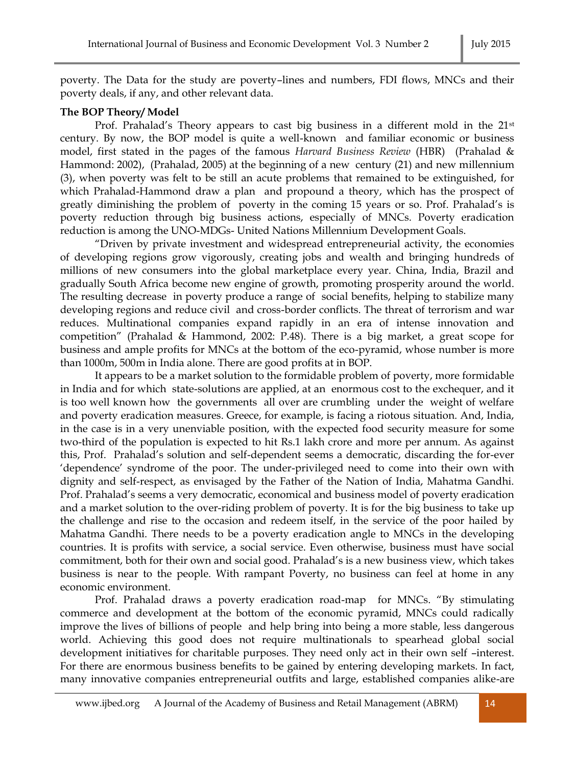poverty. The Data for the study are poverty–lines and numbers, FDI flows, MNCs and their poverty deals, if any, and other relevant data.

### **The BOP Theory/ Model**

Prof. Prahalad's Theory appears to cast big business in a different mold in the 21<sup>st</sup> century. By now, the BOP model is quite a well-known and familiar economic or business model, first stated in the pages of the famous *Harvard Business Review* (HBR) (Prahalad & Hammond: 2002), (Prahalad, 2005) at the beginning of a new century (21) and new millennium (3), when poverty was felt to be still an acute problems that remained to be extinguished, for which Prahalad-Hammond draw a plan and propound a theory, which has the prospect of greatly diminishing the problem of poverty in the coming 15 years or so. Prof. Prahalad's is poverty reduction through big business actions, especially of MNCs. Poverty eradication reduction is among the UNO-MDGs- United Nations Millennium Development Goals.

"Driven by private investment and widespread entrepreneurial activity, the economies of developing regions grow vigorously, creating jobs and wealth and bringing hundreds of millions of new consumers into the global marketplace every year. China, India, Brazil and gradually South Africa become new engine of growth, promoting prosperity around the world. The resulting decrease in poverty produce a range of social benefits, helping to stabilize many developing regions and reduce civil and cross-border conflicts. The threat of terrorism and war reduces. Multinational companies expand rapidly in an era of intense innovation and competition" (Prahalad & Hammond, 2002: P.48). There is a big market, a great scope for business and ample profits for MNCs at the bottom of the eco-pyramid, whose number is more than 1000m, 500m in India alone. There are good profits at in BOP.

It appears to be a market solution to the formidable problem of poverty, more formidable in India and for which state-solutions are applied, at an enormous cost to the exchequer, and it is too well known how the governments all over are crumbling under the weight of welfare and poverty eradication measures. Greece, for example, is facing a riotous situation. And, India, in the case is in a very unenviable position, with the expected food security measure for some two-third of the population is expected to hit Rs.1 lakh crore and more per annum. As against this, Prof. Prahalad's solution and self-dependent seems a democratic, discarding the for-ever 'dependence' syndrome of the poor. The under-privileged need to come into their own with dignity and self-respect, as envisaged by the Father of the Nation of India, Mahatma Gandhi. Prof. Prahalad's seems a very democratic, economical and business model of poverty eradication and a market solution to the over-riding problem of poverty. It is for the big business to take up the challenge and rise to the occasion and redeem itself, in the service of the poor hailed by Mahatma Gandhi. There needs to be a poverty eradication angle to MNCs in the developing countries. It is profits with service, a social service. Even otherwise, business must have social commitment, both for their own and social good. Prahalad's is a new business view, which takes business is near to the people. With rampant Poverty, no business can feel at home in any economic environment.

Prof. Prahalad draws a poverty eradication road-map for MNCs. "By stimulating commerce and development at the bottom of the economic pyramid, MNCs could radically improve the lives of billions of people and help bring into being a more stable, less dangerous world. Achieving this good does not require multinationals to spearhead global social development initiatives for charitable purposes. They need only act in their own self –interest. For there are enormous business benefits to be gained by entering developing markets. In fact, many innovative companies entrepreneurial outfits and large, established companies alike-are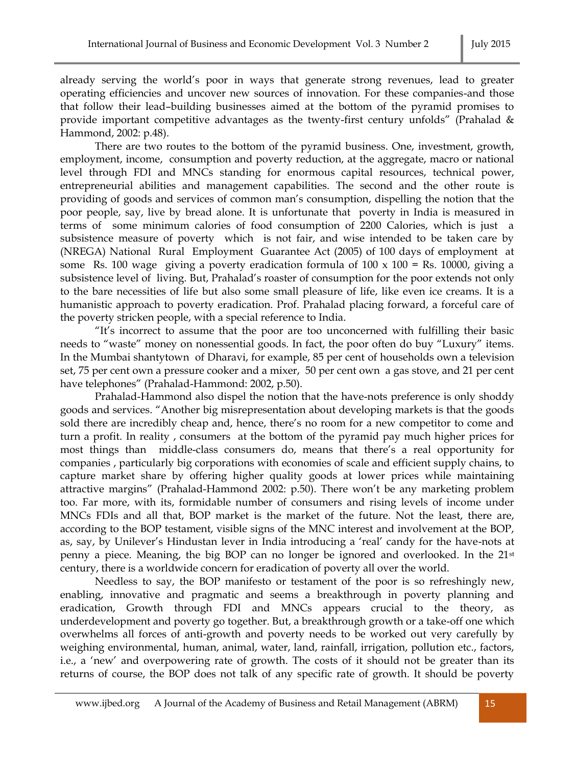already serving the world's poor in ways that generate strong revenues, lead to greater operating efficiencies and uncover new sources of innovation. For these companies-and those that follow their lead–building businesses aimed at the bottom of the pyramid promises to provide important competitive advantages as the twenty-first century unfolds" (Prahalad & Hammond, 2002: p.48).

There are two routes to the bottom of the pyramid business. One, investment, growth, employment, income, consumption and poverty reduction, at the aggregate, macro or national level through FDI and MNCs standing for enormous capital resources, technical power, entrepreneurial abilities and management capabilities. The second and the other route is providing of goods and services of common man's consumption, dispelling the notion that the poor people, say, live by bread alone. It is unfortunate that poverty in India is measured in terms of some minimum calories of food consumption of 2200 Calories, which is just a subsistence measure of poverty which is not fair, and wise intended to be taken care by (NREGA) National Rural Employment Guarantee Act (2005) of 100 days of employment at some Rs. 100 wage giving a poverty eradication formula of  $100 \times 100 =$  Rs. 10000, giving a subsistence level of living. But, Prahalad's roaster of consumption for the poor extends not only to the bare necessities of life but also some small pleasure of life, like even ice creams. It is a humanistic approach to poverty eradication. Prof. Prahalad placing forward, a forceful care of the poverty stricken people, with a special reference to India.

"It's incorrect to assume that the poor are too unconcerned with fulfilling their basic needs to "waste" money on nonessential goods. In fact, the poor often do buy "Luxury" items. In the Mumbai shantytown of Dharavi, for example, 85 per cent of households own a television set, 75 per cent own a pressure cooker and a mixer, 50 per cent own a gas stove, and 21 per cent have telephones" (Prahalad-Hammond: 2002, p.50).

Prahalad-Hammond also dispel the notion that the have-nots preference is only shoddy goods and services. "Another big misrepresentation about developing markets is that the goods sold there are incredibly cheap and, hence, there's no room for a new competitor to come and turn a profit. In reality , consumers at the bottom of the pyramid pay much higher prices for most things than middle-class consumers do, means that there's a real opportunity for companies , particularly big corporations with economies of scale and efficient supply chains, to capture market share by offering higher quality goods at lower prices while maintaining attractive margins" (Prahalad-Hammond 2002: p.50). There won't be any marketing problem too. Far more, with its, formidable number of consumers and rising levels of income under MNCs FDIs and all that, BOP market is the market of the future. Not the least, there are, according to the BOP testament, visible signs of the MNC interest and involvement at the BOP, as, say, by Unilever's Hindustan lever in India introducing a 'real' candy for the have-nots at penny a piece. Meaning, the big BOP can no longer be ignored and overlooked. In the 21st century, there is a worldwide concern for eradication of poverty all over the world.

Needless to say, the BOP manifesto or testament of the poor is so refreshingly new, enabling, innovative and pragmatic and seems a breakthrough in poverty planning and eradication, Growth through FDI and MNCs appears crucial to the theory, as underdevelopment and poverty go together. But, a breakthrough growth or a take-off one which overwhelms all forces of anti-growth and poverty needs to be worked out very carefully by weighing environmental, human, animal, water, land, rainfall, irrigation, pollution etc., factors, i.e., a 'new' and overpowering rate of growth. The costs of it should not be greater than its returns of course, the BOP does not talk of any specific rate of growth. It should be poverty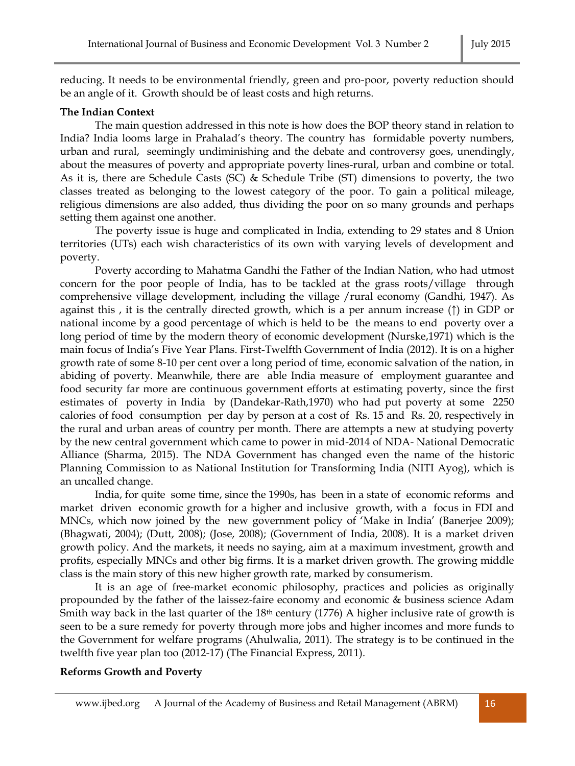reducing. It needs to be environmental friendly, green and pro-poor, poverty reduction should be an angle of it. Growth should be of least costs and high returns.

#### **The Indian Context**

The main question addressed in this note is how does the BOP theory stand in relation to India? India looms large in Prahalad's theory. The country has formidable poverty numbers, urban and rural, seemingly undiminishing and the debate and controversy goes, unendingly, about the measures of poverty and appropriate poverty lines-rural, urban and combine or total. As it is, there are Schedule Casts (SC) & Schedule Tribe (ST) dimensions to poverty, the two classes treated as belonging to the lowest category of the poor. To gain a political mileage, religious dimensions are also added, thus dividing the poor on so many grounds and perhaps setting them against one another.

The poverty issue is huge and complicated in India, extending to 29 states and 8 Union territories (UTs) each wish characteristics of its own with varying levels of development and poverty.

Poverty according to Mahatma Gandhi the Father of the Indian Nation, who had utmost concern for the poor people of India, has to be tackled at the grass roots/village through comprehensive village development, including the village /rural economy (Gandhi, 1947). As against this , it is the centrally directed growth, which is a per annum increase ( $\uparrow$ ) in GDP or national income by a good percentage of which is held to be the means to end poverty over a long period of time by the modern theory of economic development (Nurske,1971) which is the main focus of India's Five Year Plans. First-Twelfth Government of India (2012). It is on a higher growth rate of some 8-10 per cent over a long period of time, economic salvation of the nation, in abiding of poverty. Meanwhile, there are able India measure of employment guarantee and food security far more are continuous government efforts at estimating poverty, since the first estimates of poverty in India by (Dandekar-Rath,1970) who had put poverty at some 2250 calories of food consumption per day by person at a cost of Rs. 15 and Rs. 20, respectively in the rural and urban areas of country per month. There are attempts a new at studying poverty by the new central government which came to power in mid-2014 of NDA- National Democratic Alliance (Sharma, 2015). The NDA Government has changed even the name of the historic Planning Commission to as National Institution for Transforming India (NITI Ayog), which is an uncalled change.

India, for quite some time, since the 1990s, has been in a state of economic reforms and market driven economic growth for a higher and inclusive growth, with a focus in FDI and MNCs, which now joined by the new government policy of 'Make in India' (Banerjee 2009); (Bhagwati, 2004); (Dutt, 2008); (Jose, 2008); (Government of India, 2008). It is a market driven growth policy. And the markets, it needs no saying, aim at a maximum investment, growth and profits, especially MNCs and other big firms. It is a market driven growth. The growing middle class is the main story of this new higher growth rate, marked by consumerism.

It is an age of free-market economic philosophy, practices and policies as originally propounded by the father of the laissez-faire economy and economic & business science Adam Smith way back in the last quarter of the 18<sup>th</sup> century (1776) A higher inclusive rate of growth is seen to be a sure remedy for poverty through more jobs and higher incomes and more funds to the Government for welfare programs (Ahulwalia, 2011). The strategy is to be continued in the twelfth five year plan too (2012-17) (The Financial Express, 2011).

#### **Reforms Growth and Poverty**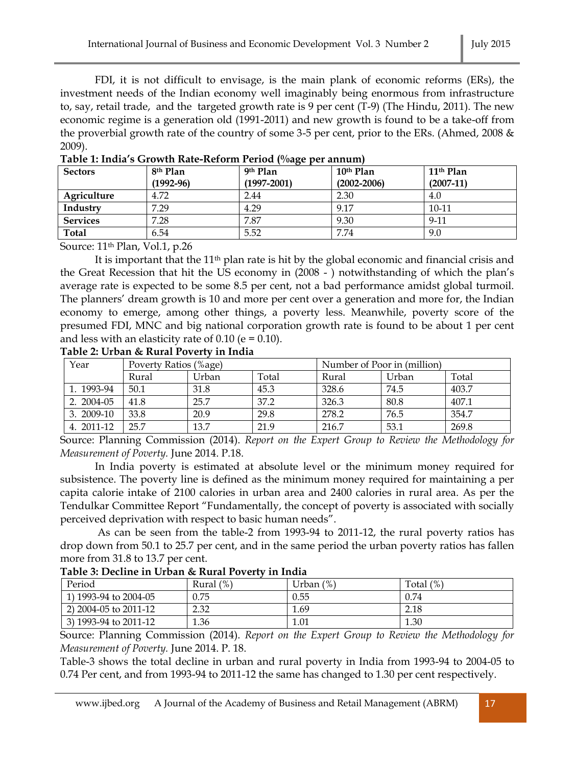FDI, it is not difficult to envisage, is the main plank of economic reforms (ERs), the investment needs of the Indian economy well imaginably being enormous from infrastructure to, say, retail trade, and the targeted growth rate is 9 per cent (T-9) (The Hindu, 2011). The new economic regime is a generation old (1991-2011) and new growth is found to be a take-off from the proverbial growth rate of the country of some 3-5 per cent, prior to the ERs. (Ahmed, 2008 & 2009).

| <b>Sectors</b>  | 8 <sup>th</sup> Plan | 9th Plan        | 10 <sup>th</sup> Plan | 11 <sup>th</sup> Plan |
|-----------------|----------------------|-----------------|-----------------------|-----------------------|
|                 | $(1992 - 96)$        | $(1997 - 2001)$ | $(2002 - 2006)$       | $(2007-11)$           |
| Agriculture     | 4.72                 | 2.44            | 2.30                  | 4.0                   |
| Industry        | 7.29                 | 4.29            | 9.17                  | $10-11$               |
| <b>Services</b> | 7.28                 | 7.87            | 9.30                  | $9 - 11$              |
| <b>Total</b>    | 6.54                 | 5.52            | 7.74                  | 9.0                   |

**Table 1: India's Growth Rate-Reform Period (%age per annum)**

Source: 11th Plan, Vol.1, p.26

It is important that the 11th plan rate is hit by the global economic and financial crisis and the Great Recession that hit the US economy in (2008 - ) notwithstanding of which the plan's average rate is expected to be some 8.5 per cent, not a bad performance amidst global turmoil. The planners' dream growth is 10 and more per cent over a generation and more for, the Indian economy to emerge, among other things, a poverty less. Meanwhile, poverty score of the presumed FDI, MNC and big national corporation growth rate is found to be about 1 per cent and less with an elasticity rate of  $0.10$  (e =  $0.10$ ).

**Table 2: Urban & Rural Poverty in India**

| Year        | Poverty Ratios (%age) |       |       | Number of Poor in (million) |       |       |
|-------------|-----------------------|-------|-------|-----------------------------|-------|-------|
|             | Rural                 | Urban | Total | Rural                       | Urban | Total |
| 1. 1993-94  | 50.1                  | 31.8  | 45.3  | 328.6                       | 74.5  | 403.7 |
| 2. 2004-05  | 41.8                  | 25.7  | 37.2  | 326.3                       | 80.8  | 407.1 |
| $3.2009-10$ | 33.8                  | 20.9  | 29.8  | 278.2                       | 76.5  | 354.7 |
| 4. 2011-12  | 25.7                  | 13.7  | 21.9  | 216.7                       | 53.1  | 269.8 |

Source: Planning Commission (2014). *Report on the Expert Group to Review the Methodology for Measurement of Poverty.* June 2014. P.18.

In India poverty is estimated at absolute level or the minimum money required for subsistence. The poverty line is defined as the minimum money required for maintaining a per capita calorie intake of 2100 calories in urban area and 2400 calories in rural area. As per the Tendulkar Committee Report "Fundamentally, the concept of poverty is associated with socially perceived deprivation with respect to basic human needs".

As can be seen from the table-2 from 1993-94 to 2011-12, the rural poverty ratios has drop down from 50.1 to 25.7 per cent, and in the same period the urban poverty ratios has fallen more from 31.8 to 13.7 per cent.

| Table 3: Decline in Urban & Rural Poverty in India |  |  |
|----------------------------------------------------|--|--|
|                                                    |  |  |

| Period                | (%)<br>Rural | (%)<br>Urban | (% )<br>Total |
|-----------------------|--------------|--------------|---------------|
| 1) 1993-94 to 2004-05 | 0.75         | 0.55         | 0.74          |
| 2) 2004-05 to 2011-12 | 2.32         | 1.69         | 2.18          |
| 3) 1993-94 to 2011-12 | 1.36         | 1.01         | 1.30          |

Source: Planning Commission (2014). *Report on the Expert Group to Review the Methodology for Measurement of Poverty.* June 2014. P. 18.

Table-3 shows the total decline in urban and rural poverty in India from 1993-94 to 2004-05 to 0.74 Per cent, and from 1993-94 to 2011-12 the same has changed to 1.30 per cent respectively.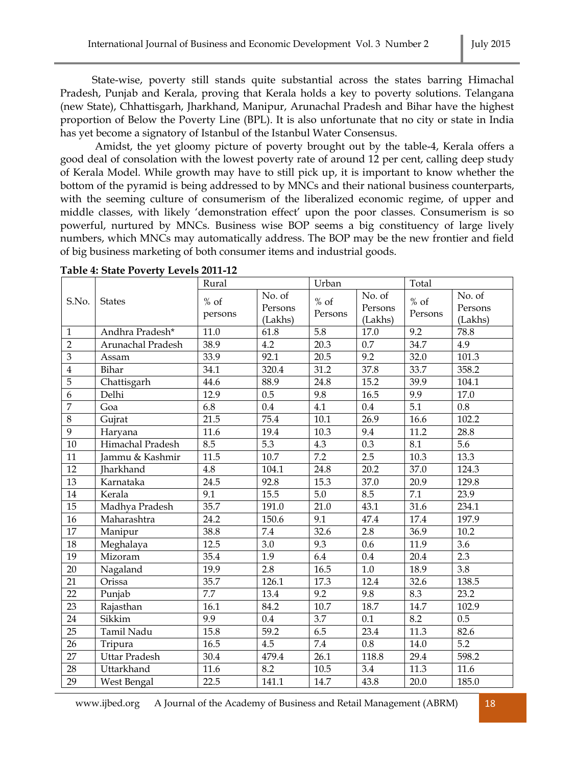State-wise, poverty still stands quite substantial across the states barring Himachal Pradesh, Punjab and Kerala, proving that Kerala holds a key to poverty solutions. Telangana (new State), Chhattisgarh, Jharkhand, Manipur, Arunachal Pradesh and Bihar have the highest proportion of Below the Poverty Line (BPL). It is also unfortunate that no city or state in India has yet become a signatory of Istanbul of the Istanbul Water Consensus.

Amidst, the yet gloomy picture of poverty brought out by the table-4, Kerala offers a good deal of consolation with the lowest poverty rate of around 12 per cent, calling deep study of Kerala Model. While growth may have to still pick up, it is important to know whether the bottom of the pyramid is being addressed to by MNCs and their national business counterparts, with the seeming culture of consumerism of the liberalized economic regime, of upper and middle classes, with likely 'demonstration effect' upon the poor classes. Consumerism is so powerful, nurtured by MNCs. Business wise BOP seems a big constituency of large lively numbers, which MNCs may automatically address. The BOP may be the new frontier and field of big business marketing of both consumer items and industrial goods.

|                 |                      | Rural             |                              | Urban             |                              | Total             |                              |
|-----------------|----------------------|-------------------|------------------------------|-------------------|------------------------------|-------------------|------------------------------|
| S.No.           | <b>States</b>        | $%$ of<br>persons | No. of<br>Persons<br>(Lakhs) | $%$ of<br>Persons | No. of<br>Persons<br>(Lakhs) | $%$ of<br>Persons | No. of<br>Persons<br>(Lakhs) |
| $\mathbf{1}$    | Andhra Pradesh*      | 11.0              | 61.8                         | 5.8               | 17.0                         | 9.2               | 78.8                         |
| $\overline{2}$  | Arunachal Pradesh    | 38.9              | 4.2                          | 20.3              | 0.7                          | 34.7              | 4.9                          |
| 3               | Assam                | 33.9              | 92.1                         | 20.5              | 9.2                          | 32.0              | 101.3                        |
| $\overline{4}$  | Bihar                | 34.1              | 320.4                        | 31.2              | 37.8                         | 33.7              | 358.2                        |
| $\overline{5}$  | Chattisgarh          | 44.6              | 88.9                         | 24.8              | 15.2                         | 39.9              | 104.1                        |
| 6               | Delhi                | 12.9              | 0.5                          | 9.8               | 16.5                         | 9.9               | 17.0                         |
| $\overline{7}$  | Goa                  | 6.8               | 0.4                          | 4.1               | 0.4                          | 5.1               | 0.8                          |
| 8               | Gujrat               | 21.5              | 75.4                         | 10.1              | 26.9                         | 16.6              | 102.2                        |
| 9               | Haryana              | $\overline{11.6}$ | 19.4                         | 10.3              | 9.4                          | 11.2              | 28.8                         |
| 10              | Himachal Pradesh     | 8.5               | 5.3                          | 4.3               | 0.3                          | 8.1               | 5.6                          |
| 11              | Jammu & Kashmir      | 11.5              | 10.7                         | 7.2               | $\overline{2.5}$             | 10.3              | 13.3                         |
| 12              | <b>Iharkhand</b>     | 4.8               | 104.1                        | 24.8              | 20.2                         | 37.0              | 124.3                        |
| 13              | Karnataka            | 24.5              | 92.8                         | 15.3              | 37.0                         | 20.9              | 129.8                        |
| 14              | Kerala               | 9.1               | 15.5                         | 5.0               | 8.5                          | 7.1               | 23.9                         |
| $\overline{15}$ | Madhya Pradesh       | 35.7              | 191.0                        | $\overline{21.0}$ | 43.1                         | $\frac{1}{31.6}$  | 234.1                        |
| 16              | Maharashtra          | 24.2              | 150.6                        | 9.1               | 47.4                         | 17.4              | 197.9                        |
| 17              | Manipur              | 38.8              | 7.4                          | 32.6              | 2.8                          | 36.9              | $10.2\,$                     |
| 18              | Meghalaya            | 12.5              | 3.0                          | 9.3               | 0.6                          | 11.9              | 3.6                          |
| 19              | Mizoram              | 35.4              | 1.9                          | 6.4               | 0.4                          | 20.4              | 2.3                          |
| 20              | Nagaland             | 19.9              | 2.8                          | 16.5              | $1.0\,$                      | 18.9              | 3.8                          |
| 21              | Orissa               | 35.7              | 126.1                        | 17.3              | 12.4                         | 32.6              | 138.5                        |
| 22              | Punjab               | $\overline{7.7}$  | 13.4                         | 9.2               | 9.8                          | 8.3               | 23.2                         |
| 23              | Rajasthan            | 16.1              | 84.2                         | 10.7              | 18.7                         | $\overline{1}4.7$ | 102.9                        |
| 24              | Sikkim               | 9.9               | 0.4                          | 3.7               | 0.1                          | $\overline{8.2}$  | 0.5                          |
| 25              | Tamil Nadu           | 15.8              | 59.2                         | 6.5               | 23.4                         | 11.3              | 82.6                         |
| 26              | Tripura              | 16.5              | 4.5                          | 7.4               | 0.8                          | 14.0              | 5.2                          |
| 27              | <b>Uttar Pradesh</b> | 30.4              | 479.4                        | 26.1              | 118.8                        | 29.4              | 598.2                        |
| 28              | Uttarkhand           | 11.6              | 8.2                          | 10.5              | 3.4                          | 11.3              | 11.6                         |
| 29              | West Bengal          | 22.5              | 141.1                        | 14.7              | 43.8                         | 20.0              | 185.0                        |

**Table 4: State Poverty Levels 2011-12** 

www.ijbed.org A Journal of the Academy of Business and Retail Management (ABRM) 18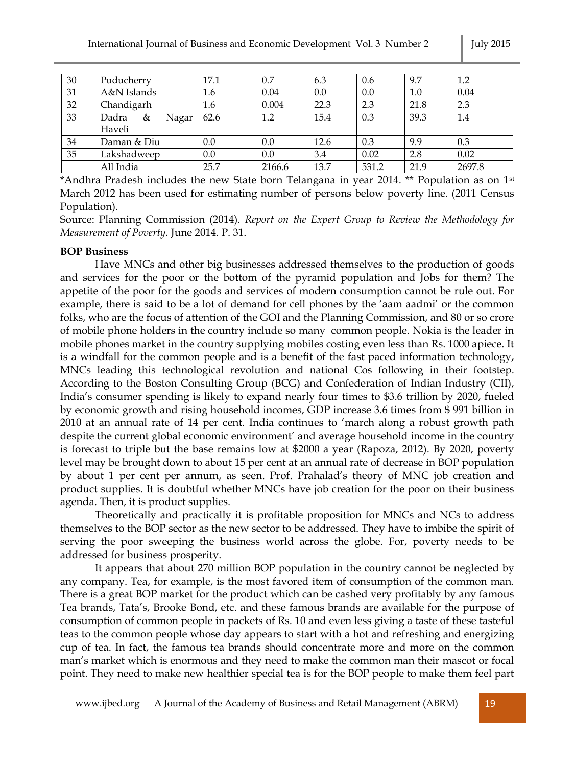| 30 | Puducherry          | 17.1 | 0.7    | 6.3  | 0.6   | 9.7  | 1.2    |
|----|---------------------|------|--------|------|-------|------|--------|
| 31 | A&N Islands         | 1.6  | 0.04   | 0.0  | 0.0   | 1.0  | 0.04   |
| 32 | Chandigarh          | 1.6  | 0.004  | 22.3 | 2.3   | 21.8 | 2.3    |
| 33 | Dadra<br>&<br>Nagar | 62.6 | 1.2    | 15.4 | 0.3   | 39.3 | 1.4    |
|    | Haveli              |      |        |      |       |      |        |
| 34 | Daman & Diu         | 0.0  | 0.0    | 12.6 | 0.3   | 9.9  | 0.3    |
| 35 | Lakshadweep         | 0.0  | 0.0    | 3.4  | 0.02  | 2.8  | 0.02   |
|    | All India           | 25.7 | 2166.6 | 13.7 | 531.2 | 21.9 | 2697.8 |

\*Andhra Pradesh includes the new State born Telangana in year 2014. \*\* Population as on  $1<sup>st</sup>$ March 2012 has been used for estimating number of persons below poverty line. (2011 Census Population).

Source: Planning Commission (2014). *Report on the Expert Group to Review the Methodology for Measurement of Poverty.* June 2014. P. 31.

### **BOP Business**

Have MNCs and other big businesses addressed themselves to the production of goods and services for the poor or the bottom of the pyramid population and Jobs for them? The appetite of the poor for the goods and services of modern consumption cannot be rule out. For example, there is said to be a lot of demand for cell phones by the 'aam aadmi' or the common folks, who are the focus of attention of the GOI and the Planning Commission, and 80 or so crore of mobile phone holders in the country include so many common people. Nokia is the leader in mobile phones market in the country supplying mobiles costing even less than Rs. 1000 apiece. It is a windfall for the common people and is a benefit of the fast paced information technology, MNCs leading this technological revolution and national Cos following in their footstep. According to the Boston Consulting Group (BCG) and Confederation of Indian Industry (CII), India's consumer spending is likely to expand nearly four times to \$3.6 trillion by 2020, fueled by economic growth and rising household incomes, GDP increase 3.6 times from \$ 991 billion in 2010 at an annual rate of 14 per cent. India continues to 'march along a robust growth path despite the current global economic environment' and average household income in the country is forecast to triple but the base remains low at \$2000 a year (Rapoza, 2012). By 2020, poverty level may be brought down to about 15 per cent at an annual rate of decrease in BOP population by about 1 per cent per annum, as seen. Prof. Prahalad's theory of MNC job creation and product supplies. It is doubtful whether MNCs have job creation for the poor on their business agenda. Then, it is product supplies.

Theoretically and practically it is profitable proposition for MNCs and NCs to address themselves to the BOP sector as the new sector to be addressed. They have to imbibe the spirit of serving the poor sweeping the business world across the globe. For, poverty needs to be addressed for business prosperity.

It appears that about 270 million BOP population in the country cannot be neglected by any company. Tea, for example, is the most favored item of consumption of the common man. There is a great BOP market for the product which can be cashed very profitably by any famous Tea brands, Tata's, Brooke Bond, etc. and these famous brands are available for the purpose of consumption of common people in packets of Rs. 10 and even less giving a taste of these tasteful teas to the common people whose day appears to start with a hot and refreshing and energizing cup of tea. In fact, the famous tea brands should concentrate more and more on the common man's market which is enormous and they need to make the common man their mascot or focal point. They need to make new healthier special tea is for the BOP people to make them feel part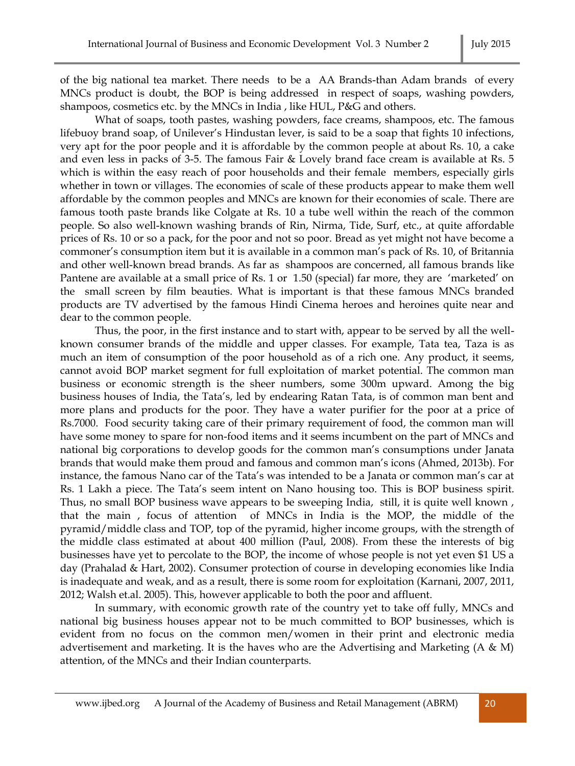of the big national tea market. There needs to be a AA Brands-than Adam brands of every MNCs product is doubt, the BOP is being addressed in respect of soaps, washing powders, shampoos, cosmetics etc. by the MNCs in India , like HUL, P&G and others.

What of soaps, tooth pastes, washing powders, face creams, shampoos, etc. The famous lifebuoy brand soap, of Unilever's Hindustan lever, is said to be a soap that fights 10 infections, very apt for the poor people and it is affordable by the common people at about Rs. 10, a cake and even less in packs of 3-5. The famous Fair & Lovely brand face cream is available at Rs. 5 which is within the easy reach of poor households and their female members, especially girls whether in town or villages. The economies of scale of these products appear to make them well affordable by the common peoples and MNCs are known for their economies of scale. There are famous tooth paste brands like Colgate at Rs. 10 a tube well within the reach of the common people. So also well-known washing brands of Rin, Nirma, Tide, Surf, etc., at quite affordable prices of Rs. 10 or so a pack, for the poor and not so poor. Bread as yet might not have become a commoner's consumption item but it is available in a common man's pack of Rs. 10, of Britannia and other well-known bread brands. As far as shampoos are concerned, all famous brands like Pantene are available at a small price of Rs. 1 or 1.50 (special) far more, they are 'marketed' on the small screen by film beauties. What is important is that these famous MNCs branded products are TV advertised by the famous Hindi Cinema heroes and heroines quite near and dear to the common people.

Thus, the poor, in the first instance and to start with, appear to be served by all the wellknown consumer brands of the middle and upper classes. For example, Tata tea, Taza is as much an item of consumption of the poor household as of a rich one. Any product, it seems, cannot avoid BOP market segment for full exploitation of market potential. The common man business or economic strength is the sheer numbers, some 300m upward. Among the big business houses of India, the Tata's, led by endearing Ratan Tata, is of common man bent and more plans and products for the poor. They have a water purifier for the poor at a price of Rs.7000. Food security taking care of their primary requirement of food, the common man will have some money to spare for non-food items and it seems incumbent on the part of MNCs and national big corporations to develop goods for the common man's consumptions under Janata brands that would make them proud and famous and common man's icons (Ahmed, 2013b). For instance, the famous Nano car of the Tata's was intended to be a Janata or common man's car at Rs. 1 Lakh a piece. The Tata's seem intent on Nano housing too. This is BOP business spirit. Thus, no small BOP business wave appears to be sweeping India, still, it is quite well known , that the main , focus of attention of MNCs in India is the MOP, the middle of the pyramid/middle class and TOP, top of the pyramid, higher income groups, with the strength of the middle class estimated at about 400 million (Paul, 2008). From these the interests of big businesses have yet to percolate to the BOP, the income of whose people is not yet even \$1 US a day (Prahalad & Hart, 2002). Consumer protection of course in developing economies like India is inadequate and weak, and as a result, there is some room for exploitation (Karnani, 2007, 2011, 2012; Walsh et.al. 2005). This, however applicable to both the poor and affluent.

In summary, with economic growth rate of the country yet to take off fully, MNCs and national big business houses appear not to be much committed to BOP businesses, which is evident from no focus on the common men/women in their print and electronic media advertisement and marketing. It is the haves who are the Advertising and Marketing (A & M) attention, of the MNCs and their Indian counterparts.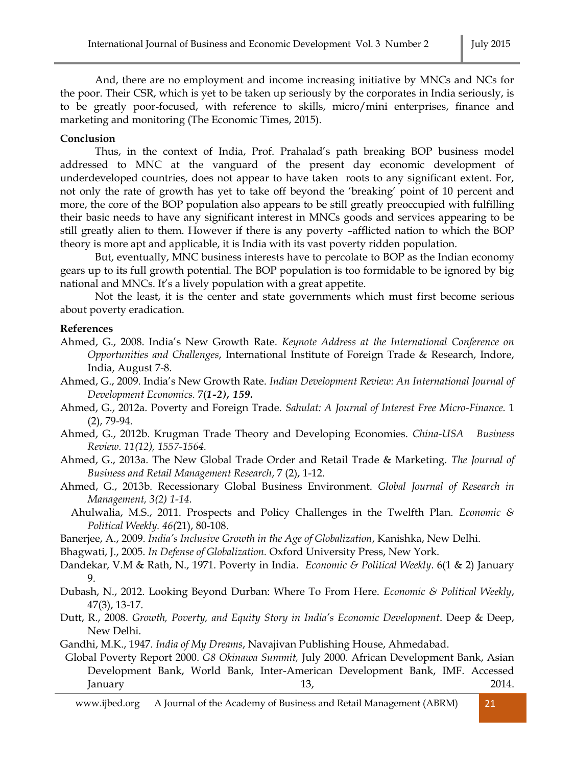And, there are no employment and income increasing initiative by MNCs and NCs for the poor. Their CSR, which is yet to be taken up seriously by the corporates in India seriously, is to be greatly poor-focused, with reference to skills, micro/mini enterprises, finance and marketing and monitoring (The Economic Times, 2015).

# **Conclusion**

Thus, in the context of India, Prof. Prahalad's path breaking BOP business model addressed to MNC at the vanguard of the present day economic development of underdeveloped countries, does not appear to have taken roots to any significant extent. For, not only the rate of growth has yet to take off beyond the 'breaking' point of 10 percent and more, the core of the BOP population also appears to be still greatly preoccupied with fulfilling their basic needs to have any significant interest in MNCs goods and services appearing to be still greatly alien to them. However if there is any poverty –afflicted nation to which the BOP theory is more apt and applicable, it is India with its vast poverty ridden population.

But, eventually, MNC business interests have to percolate to BOP as the Indian economy gears up to its full growth potential. The BOP population is too formidable to be ignored by big national and MNCs. It's a lively population with a great appetite.

Not the least, it is the center and state governments which must first become serious about poverty eradication.

# **References**

- Ahmed, G., 2008. India's New Growth Rate. *Keynote Address at the International Conference on Opportunities and Challenges*, International Institute of Foreign Trade & Research, Indore, India, August 7-8.
- Ahmed, G., 2009. India's New Growth Rate. *Indian Development Review: An International Journal of Development Economics.* 7(*1-2), 159.*
- Ahmed, G., 2012a. Poverty and Foreign Trade. *Sahulat: A Journal of Interest Free Micro-Finance.* 1 (2), 79-94.
- Ahmed, G., 2012b. Krugman Trade Theory and Developing Economies. *China-USA Business Review. 11(12), 1557-1564.*
- Ahmed, G., 2013a. The New Global Trade Order and Retail Trade & Marketing. *The Journal of Business and Retail Management Research*, 7 (2), 1-12.
- Ahmed, G., 2013b. Recessionary Global Business Environment. *Global Journal of Research in Management, 3(2) 1-14.*
	- Ahulwalia, M.S., 2011. Prospects and Policy Challenges in the Twelfth Plan. *Economic & Political Weekly. 46(*21), 80-108.
- Banerjee, A., 2009. *India's Inclusive Growth in the Age of Globalization*, Kanishka, New Delhi.

Bhagwati, J., 2005. *In Defense of Globalization.* Oxford University Press, New York.

- Dandekar, V.M & Rath, N., 1971. Poverty in India. *Economic & Political Weekly*. 6(1 & 2) January 9.
- Dubash, N., 2012. Looking Beyond Durban: Where To From Here. *Economic & Political Weekly*, 47(3), 13-17.
- Dutt, R., 2008. *Growth, Poverty, and Equity Story in India's Economic Development*. Deep & Deep, New Delhi.
- Gandhi, M.K., 1947. *India of My Dreams*, Navajivan Publishing House, Ahmedabad.

 Global Poverty Report 2000. *G8 Okinawa Summit,* July 2000. African Development Bank, Asian Development Bank, World Bank, Inter-American Development Bank, IMF. Accessed January 13, 2014.